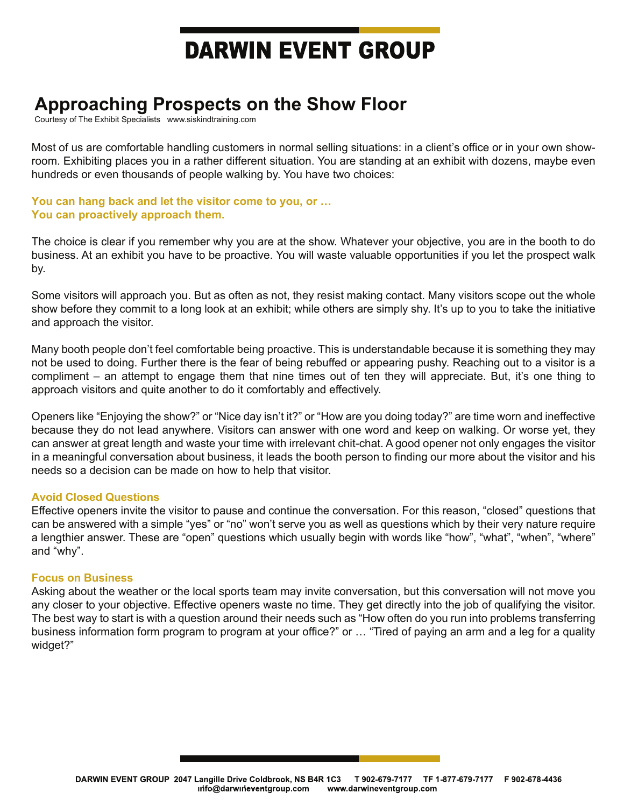# **DARWIN EVENT GROUP**

### **Approaching Prospects on the Show Floor**

Courtesy of The Exhibit Specialists – www.siskindtraining.com

Most of us are comfortable handling customers in normal selling situations: in a client's office or in your own showroom. Exhibiting places you in a rather different situation. You are standing at an exhibit with dozens, maybe even hundreds or even thousands of people walking by. You have two choices:

**You can hang back and let the visitor come to you, or … You can proactively approach them.** 

The choice is clear if you remember why you are at the show. Whatever your objective, you are in the booth to do business. At an exhibit you have to be proactive. You will waste valuable opportunities if you let the prospect walk by.

Some visitors will approach you. But as often as not, they resist making contact. Many visitors scope out the whole show before they commit to a long look at an exhibit; while others are simply shy. It's up to you to take the initiative and approach the visitor.

Many booth people don't feel comfortable being proactive. This is understandable because it is something they may not be used to doing. Further there is the fear of being rebuffed or appearing pushy. Reaching out to a visitor is a compliment – an attempt to engage them that nine times out of ten they will appreciate. But, it's one thing to approach visitors and quite another to do it comfortably and effectively.

Openers like "Enjoying the show?" or "Nice day isn't it?" or "How are you doing today?" are time worn and ineffective because they do not lead anywhere. Visitors can answer with one word and keep on walking. Or worse yet, they can answer at great length and waste your time with irrelevant chit-chat. A good opener not only engages the visitor in a meaningful conversation about business, it leads the booth person to finding our more about the visitor and his needs so a decision can be made on how to help that visitor.

### **Avoid Closed Questions**

Effective openers invite the visitor to pause and continue the conversation. For this reason, "closed" questions that can be answered with a simple "yes" or "no" won't serve you as well as questions which by their very nature require a lengthier answer. These are "open" questions which usually begin with words like "how", "what", "when", "where" and "why".

### **Focus on Business**

Asking about the weather or the local sports team may invite conversation, but this conversation will not move you any closer to your objective. Effective openers waste no time. They get directly into the job of qualifying the visitor. The best way to start is with a question around their needs such as "How often do you run into problems transferring business information form program to program at your office?" or … "Tired of paying an arm and a leg for a quality widget?"